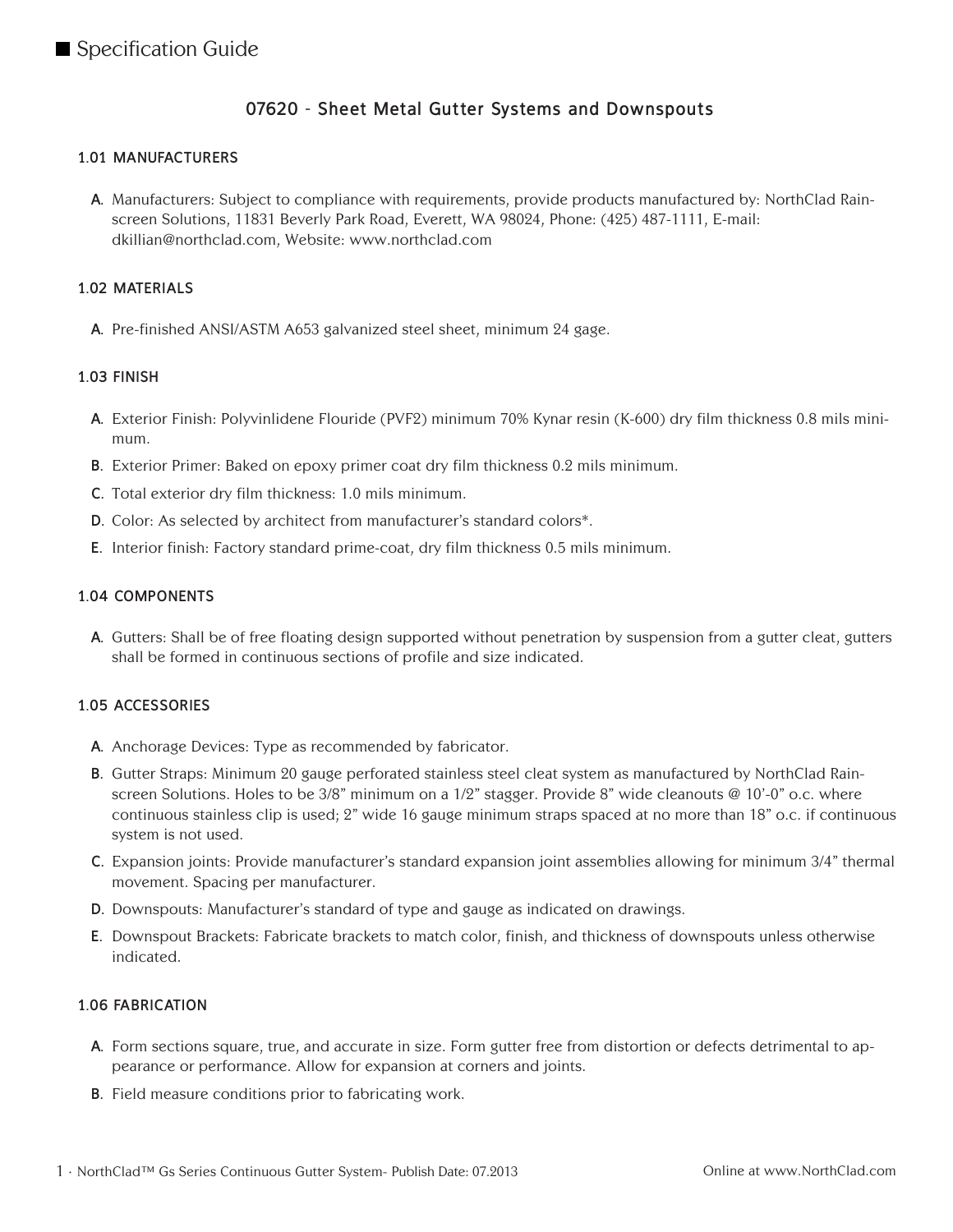# **07620 - Sheet Metal Gutter Systems and Downspouts**

### **1.01 MANUFACTURERS**

**A.** Manufacturers: Subject to compliance with requirements, provide products manufactured by: NorthClad Rainscreen Solutions, 11831 Beverly Park Road, Everett, WA 98024, Phone: (425) 487-1111, E-mail: dkillian@northclad.com, Website: www.northclad.com

#### **1.02 MATERIALS**

**A.** Pre-finished ANSI/ASTM A653 galvanized steel sheet, minimum 24 gage.

#### **1.03 FINISH**

- **A.** Exterior Finish: Polyvinlidene Flouride (PVF2) minimum 70% Kynar resin (K-600) dry film thickness 0.8 mils minimum.
- **B.** Exterior Primer: Baked on epoxy primer coat dry film thickness 0.2 mils minimum.
- **C.** Total exterior dry film thickness: 1.0 mils minimum.
- **D.** Color: As selected by architect from manufacturer's standard colors\*.
- **E.** Interior finish: Factory standard prime-coat, dry film thickness 0.5 mils minimum.

#### **1.04 COMPONENTS**

**A.** Gutters: Shall be of free floating design supported without penetration by suspension from a gutter cleat, gutters shall be formed in continuous sections of profile and size indicated.

#### **1.05 ACCESSORIES**

- **A.** Anchorage Devices: Type as recommended by fabricator.
- **B.** Gutter Straps: Minimum 20 gauge perforated stainless steel cleat system as manufactured by NorthClad Rainscreen Solutions. Holes to be 3/8" minimum on a 1/2" stagger. Provide 8" wide cleanouts @ 10'-0" o.c. where continuous stainless clip is used; 2" wide 16 gauge minimum straps spaced at no more than 18" o.c. if continuous system is not used.
- **C.** Expansion joints: Provide manufacturer's standard expansion joint assemblies allowing for minimum 3/4" thermal movement. Spacing per manufacturer.
- **D.** Downspouts: Manufacturer's standard of type and gauge as indicated on drawings.
- **E.** Downspout Brackets: Fabricate brackets to match color, finish, and thickness of downspouts unless otherwise indicated.

#### **1.06 FABRICATION**

- **A.** Form sections square, true, and accurate in size. Form gutter free from distortion or defects detrimental to appearance or performance. Allow for expansion at corners and joints.
- **B.** Field measure conditions prior to fabricating work.